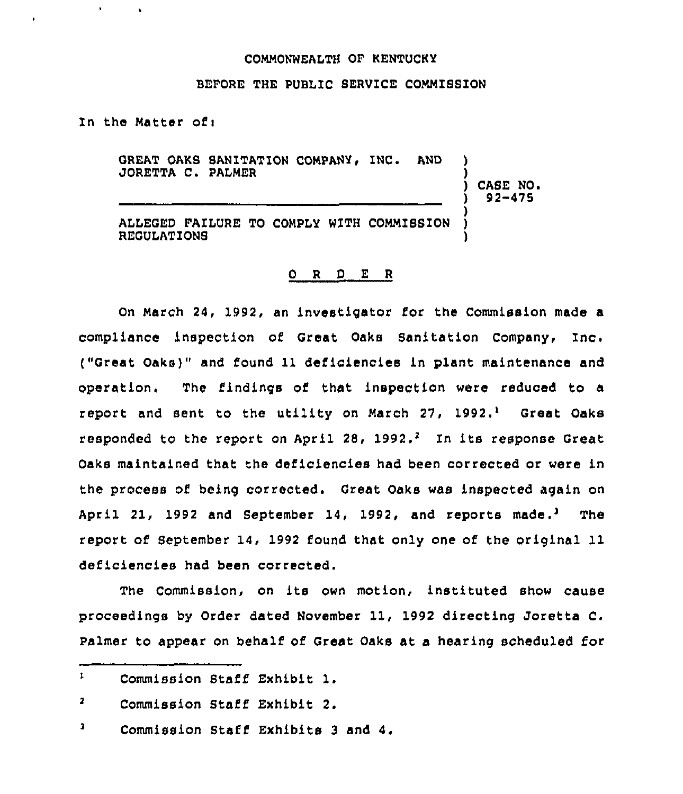#### COMMONWEALTH OF KENTUCKY

#### BEFORE THE PUBLIC SERVICE COMMISSION

In the Matter of <sup>i</sup>

 $\bullet$ 

 $\mathbf{r}$  .

GREAT OAKS SANITATION COMPANY, INC. AND JORETTA C. PAIMER ) ) CASE NO <sup>~</sup> ) 92-475 ) ALLEGED FAILURE TO COMPLY WITH COMMISSION ) REGULATIONS )

## 0 R <sup>D</sup> E R

On March 24, 1992, an investigator for the Commission made a compliance inspection of Great Oaks Sanitation Company, inc, ("Great Oaks)" and found ll deficiencies in plant maintenance and operation. The findings of that inspection were reduced to a report and sent to the utility on March  $27$ ,  $1992.^1$  Great Oaks responded to the report on April 28, 1992.<sup>2</sup> In its response Great Oaks maintained that the deficiencies had been corrected or were in the process of being corrected. Great Oaks was inspected again on April 21, 1992 and September 14, 1992, and reports made.<sup>3</sup> The report of September 14, 1992 found that only one of the original 11 deficiencies had been corrected.

The Commission, on its own motion, instituted show cause proceedings by Order dated November ll, <sup>1992</sup> directing Joretta C. Palmer to appear on behalf of Great Oaks at a hearing scheduled for

 $\mathbf{1}$ Commission Staff Exhibit l.

 $\mathbf{z}$ Commission Staff Exhibit 2.

 $\mathbf 3$ Commission Staff Exhibits 3 and 4.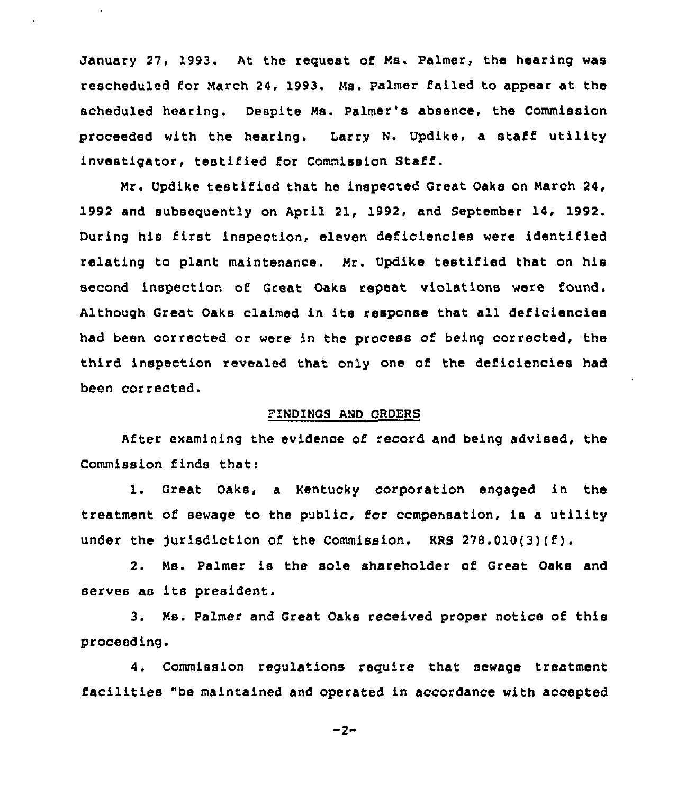January 27, 1993. At the request of Ns. Palmer, the hearing was rescheduled for March 24, 1993. Hs. Palmer failed to appear at the scheduled hearing. Despite Ms. Palmer's absence, the Commission proceeded with the hearing. Larry N. Updike, a staff utility investigator, testified for Commission Staff.

 $\ddot{\phantom{a}}$ 

Mr. Updike testified that he inspected Great Oaks on March 24, 1992 and subsequently on April 21, 1992, and September 14, 1992. During his first inspection, eleven deficiencies were identified relating to plant maintenance. Nr. Updike testified that on his second inspection of Great Oaks repeat violations were found. Although Great Oaks claimed in its response that all deficiencies had been corrected or were in the process of being corrected, the third inspection revealed that only one of the deficiencies had been corrected.

# FINDINGS AND ORDERS

After examining the evidence of record and being advised, the Commission finds that:

1. Great Oaks, <sup>a</sup> Kentucky corporation engaged in the treatment of sewage to the public, for compensation, is a utility under the Jurisdiction of the Commission. KRS 278.010(3)(f).

2. Ns. Palmer is the sole shareholder of Great Oaks and serves as its president.

3. Ns. Palmer and Great Oaks received proper notice of this proceeding.

4. Commission regulations require that sewage treatment facilities "be maintained and operated in accordance with accepted

 $-2-$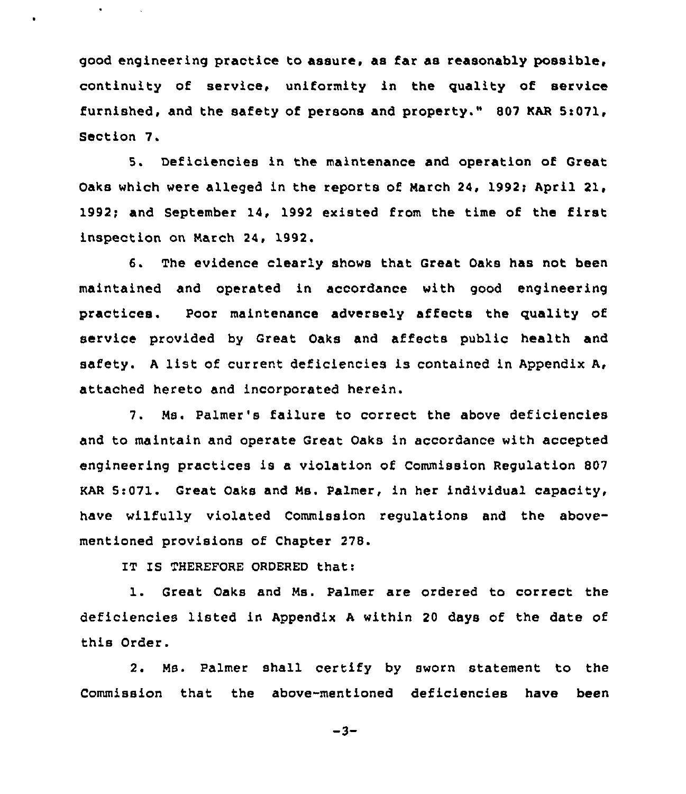good engineering practice to assure, as far as reasonably possible, continuity of service, uniformity in the quality of service furnished, and the safety of persona and property." 807 KAR Si071, Section 7.

5. Deficiencies in the maintenance and operation of Great Oaks which were alleged in the reports of Narch 24, 1992; April 21, 1992; and September 14, 1992 existed from the time of the first inspection on Narch 24, 1992.

6. The evidence clearly shows that Great Oaks has not been maintained and operated in accordance with good engineering practices. Poor maintenance adversely affects the quality of service provided by Great Oaks and affects public health and safety. <sup>A</sup> list of current deficiencies is contained in Appendix A, attached hereto and incorporated herein.

7. Ns. Palmer's failure to correct the above deficiencies and to maintain and operate Great Oaks in accordance with accepted engineering practices is a violation of Commission Regulation 807 KAR 5:071. Great Oaks and Ns. Palmer, in her individual capacity, have wilfully violated Commission regulations and the abovementioned provisions of Chapter 278.

IT IS THEREFORE ORDERED that:

 $\bullet$ 

1. Great Oaks and Ns. Palmer are ordered to correct the deficiencies listed in Appendix <sup>A</sup> within 20 days of the date of this Order.

2. Ns. Palmer shall certify by sworn statement to the Commission that the above-mentioned deficiencies have been

 $-3-$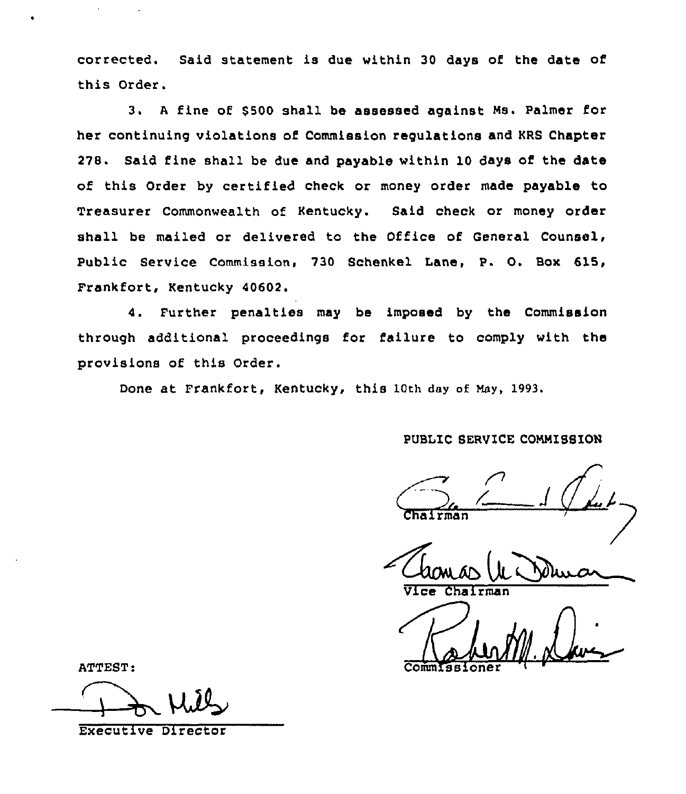corrected. Said statement is due within 30 days of the date of this Order.

3. A fine of \$500 shall be assessed against Ms. Palmer for her continuing violations of Commission regulations and KRS Chapter 278. Said fine shall be due and payable within 10 days of the date of this Order by certified check or money order made payable to Treasurer Commonwealth of Kentucky. Said check or money order shall be mailed or delivered to the Office of General Counsel, Public Service Commission, 730 Schenkel Lane, P. O. Box 615, Frankfort, Kentucky 40602.

4. Further penalties may be imposed by the Commission through additional proceedings for failure to comply with the provisions of this Order.

Done at Frankfort, Kentucky, this 10th day of May, 1993.

PUBLIC SERVICE COMMISSION

rman

Vice Chairman

ATTEST: CommIssione

Executive DireCtOr